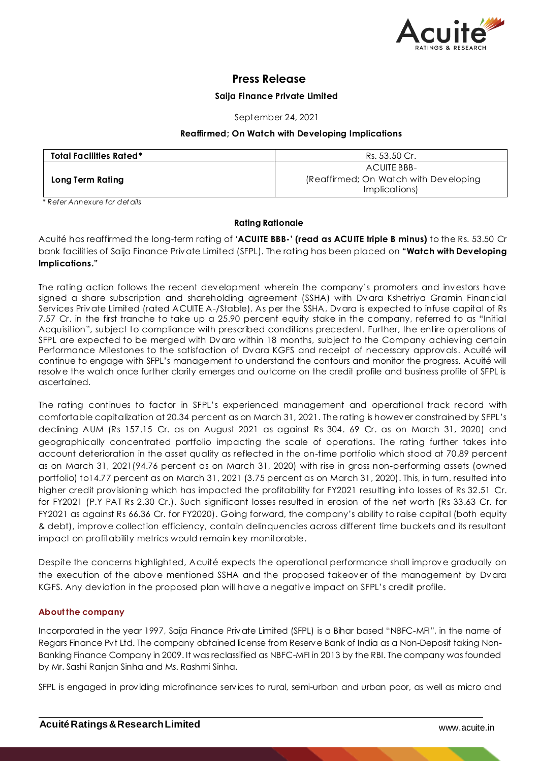

# **Press Release**

# **Saija Finance Private Limited**

September 24, 2021

### **Reaffirmed; On Watch with Developing Implications**

| <b>Total Facilities Rated*</b> | Rs. 53.50 Cr.                                                         |
|--------------------------------|-----------------------------------------------------------------------|
| Long Term Rating               | ACUITE BBB-<br>(Reaffirmed; On Watch with Developing<br>Implications) |

*\* Refer Annexure for det ails*

# **Rating Rationale**

Acuité has reaffirmed the long-term rating of **'ACUITE BBB-' (read as ACUITE triple B minus)** to the Rs. 53.50 Cr bank facilities of Saija Finance Private Limited (SFPL). The rating has been placed on **"Watch with Developing Implications."**

The rating action follows the recent development wherein the company's promoters and investors have signed a share subscription and shareholding agreement (SSHA) with Dvara Kshetriya Gramin Financial Services Private Limited (rated ACUITE A-/Stable). As per the SSHA, Dvara is expected to infuse capital of Rs 7.57 Cr. in the first tranche to take up a 25.90 percent equity stake in the company, referred to as "Initial Acquisition", subject to compliance with prescribed conditions precedent. Further, the entire operations of SFPL are expected to be merged with Dvara within 18 months, subject to the Company achieving certain Performance Milestones to the satisfaction of Dvara KGFS and receipt of necessary approvals. Acuité will continue to engage with SFPL's management to understand the contours and monitor the progress. Acuité will resolve the watch once further clarity emerges and outcome on the credit profile and business profile of SFPL is ascertained.

The rating continues to factor in SFPL's experienced management and operational track record with comfortable capitalization at 20.34 percent as on March 31, 2021. The rating is however constrained by SFPL's declining AUM (Rs 157.15 Cr. as on August 2021 as against Rs 304. 69 Cr. as on March 31, 2020) and geographically concentrated portfolio impacting the scale of operations. The rating further takes into account deterioration in the asset quality as reflected in the on-time portfolio which stood at 70.89 percent as on March 31, 2021(94.76 percent as on March 31, 2020) with rise in gross non-performing assets (owned portfolio) to14.77 percent as on March 31, 2021 (3.75 percent as on March 31, 2020). This, in turn, resulted into higher credit provisioning which has impacted the profitability for FY2021 resulting into losses of Rs 32.51 Cr. for FY2021 (P.Y PAT Rs 2.30 Cr.). Such significant losses resulted in erosion of the net worth (Rs 33.63 Cr. for FY2021 as against Rs 66.36 Cr. for FY2020). Going forward, the company's ability to raise capital (both equity & debt), improve collection efficiency, contain delinquencies across different time buckets and its resultant impact on profitability metrics would remain key monitorable.

Despite the concerns highlighted, Acuité expects the operational performance shall improve gradually on the execution of the above mentioned SSHA and the proposed takeover of the management by Dvara KGFS. Any deviation in the proposed plan will have a negative impact on SFPL's credit profile.

# **About the company**

Incorporated in the year 1997, Saija Finance Private Limited (SFPL) is a Bihar based "NBFC-MFI", in the name of Regars Finance Pvt Ltd. The company obtained license from Reserve Bank of India as a Non-Deposit taking Non-Banking Finance Company in 2009. It was reclassified as NBFC-MFI in 2013 by the RBI. The company was founded by Mr. Sashi Ranjan Sinha and Ms. Rashmi Sinha.

SFPL is engaged in providing microfinance services to rural, semi-urban and urban poor, as well as micro and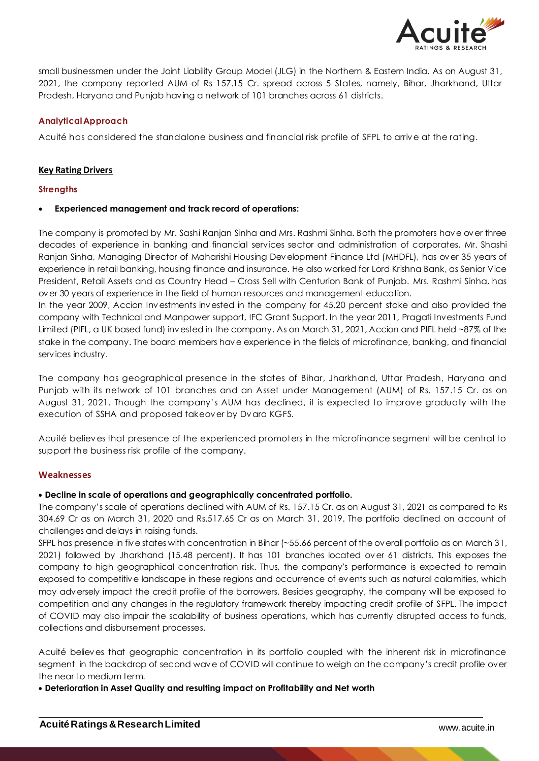

small businessmen under the Joint Liability Group Model (JLG) in the Northern & Eastern India. As on August 31, 2021, the company reported AUM of Rs 157.15 Cr. spread across 5 States, namely, Bihar, Jharkhand, Uttar Pradesh, Haryana and Punjab having a network of 101 branches across 61 districts.

# **AnalyticalApproach**

Acuité has considered the standalone business and financial risk profile of SFPL to arrive at the rating.

# **Key Rating Drivers**

### **Strengths**

# **Experienced management and track record of operations:**

The company is promoted by Mr. Sashi Ranjan Sinha and Mrs. Rashmi Sinha. Both the promoters have over three decades of experience in banking and financial services sector and administration of corporates. Mr. Shashi Ranjan Sinha, Managing Director of Maharishi Housing Development Finance Ltd (MHDFL), has over 35 years of experience in retail banking, housing finance and insurance. He also worked for Lord Krishna Bank, as Senior Vice President, Retail Assets and as Country Head – Cross Sell with Centurion Bank of Punjab. Mrs. Rashmi Sinha, has over 30 years of experience in the field of human resources and management education.

In the year 2009, Accion Investments invested in the company for 45.20 percent stake and also provided the company with Technical and Manpower support, IFC Grant Support. In the year 2011, Pragati Investments Fund Limited (PIFL, a UK based fund) invested in the company. As on March 31, 2021, Accion and PIFL held ~87% of the stake in the company. The board members have experience in the fields of microfinance, banking, and financial services industry.

The company has geographical presence in the states of Bihar, Jharkhand, Uttar Pradesh, Haryana and Punjab with its network of 101 branches and an Asset under Management (AUM) of Rs. 157.15 Cr. as on August 31, 2021. Though the company's AUM has declined, it is expected to improve gradually with the execution of SSHA and proposed takeover by Dvara KGFS.

Acuité believes that presence of the experienced promoters in the microfinance segment will be central to support the business risk profile of the company.

# **Weaknesses**

# **Decline in scale of operations and geographically concentrated portfolio.**

The company's scale of operations declined with AUM of Rs. 157.15 Cr. as on August 31, 2021 as compared to Rs 304.69 Cr as on March 31, 2020 and Rs.517.65 Cr as on March 31, 2019. The portfolio declined on account of challenges and delays in raising funds.

SFPL has presence in five states with concentration in Bihar (~55.66 percent of the overall portfolio as on March 31, 2021) followed by Jharkhand (15.48 percent). It has 101 branches located over 61 districts. This exposes the company to high geographical concentration risk. Thus, the company's performance is expected to remain exposed to competitive landscape in these regions and occurrence of events such as natural calamities, which may adversely impact the credit profile of the borrowers. Besides geography, the company will be exposed to competition and any changes in the regulatory framework thereby impacting credit profile of SFPL. The impact of COVID may also impair the scalability of business operations, which has currently disrupted access to funds, collections and disbursement processes.

Acuité believes that geographic concentration in its portfolio coupled with the inherent risk in microfinance segment in the backdrop of second wave of COVID will continue to weigh on the company's credit profile over the near to medium term.

**Deterioration in Asset Quality and resulting impact on Profitability and Net worth**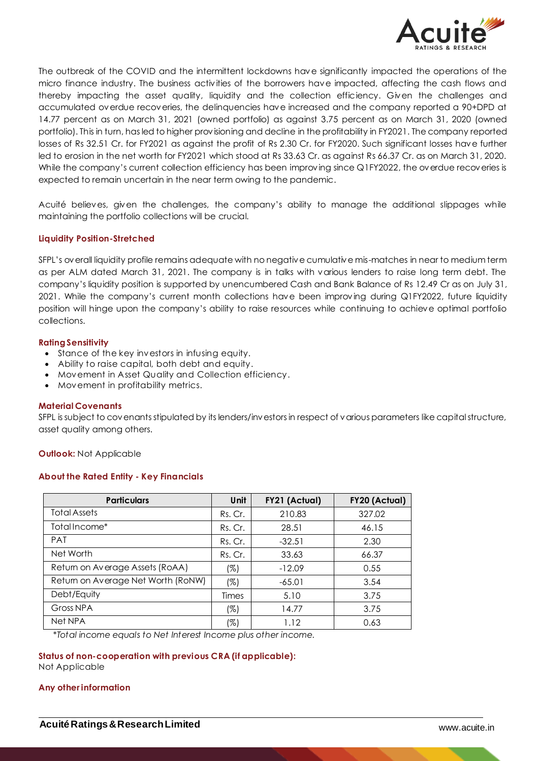

The outbreak of the COVID and the intermittent lockdowns have significantly impacted the operations of the micro finance industry. The business activities of the borrowers have impacted, affecting the cash flows and thereby impacting the asset quality, liquidity and the collection efficiency. Given the challenges and accumulated overdue recoveries, the delinquencies have increased and the company reported a 90+DPD at 14.77 percent as on March 31, 2021 (owned portfolio) as against 3.75 percent as on March 31, 2020 (owned portfolio). This in turn, has led to higher provisioning and decline in the profitability in FY2021. The company reported losses of Rs 32.51 Cr. for FY2021 as against the profit of Rs 2.30 Cr. for FY2020. Such significant losses have further led to erosion in the net worth for FY2021 which stood at Rs 33.63 Cr. as against Rs 66.37 Cr. as on March 31, 2020. While the company's current collection efficiency has been improving since Q1FY2022, the overdue recoveries is expected to remain uncertain in the near term owing to the pandemic.

Acuité believes, given the challenges, the company's ability to manage the additional slippages while maintaining the portfolio collections will be crucial.

### **Liquidity Position-Stretched**

SFPL's overall liquidity profile remains adequate with no negative cumulative mis-matches in near to medium term as per ALM dated March 31, 2021. The company is in talks with various lenders to raise long term debt. The company's liquidity position is supported by unencumbered Cash and Bank Balance of Rs 12.49 Cr as on July 31, 2021. While the company's current month collections have been improving during Q1FY2022, future liquidity position will hinge upon the company's ability to raise resources while continuing to achieve optimal portfolio collections.

#### **RatingSensitivity**

- Stance of the key investors in infusing equity.
- Ability to raise capital, both debt and equity.
- Movement in Asset Quality and Collection efficiency.
- Movement in profitability metrics.

#### **Material Covenants**

SFPL is subject to covenants stipulated by its lenders/investors in respect of various parameters like capital structure, asset quality among others.

**Outlook:** Not Applicable

# **About the Rated Entity - Key Financials**

| <b>Particulars</b>                 | Unit    | FY21 (Actual) | FY20 (Actual) |
|------------------------------------|---------|---------------|---------------|
| <b>Total Assets</b>                | Rs. Cr. | 210.83        | 327.02        |
| Total Income*                      | Rs. Cr. | 28.51         | 46.15         |
| <b>PAT</b>                         | Rs. Cr. | $-32.51$      | 2.30          |
| Net Worth                          | Rs. Cr. | 33.63         | 66.37         |
| Return on Average Assets (RoAA)    | (%)     | $-12.09$      | 0.55          |
| Return on Average Net Worth (RoNW) | (%)     | $-65.01$      | 3.54          |
| Debt/Equity                        | Times   | 5.10          | 3.75          |
| Gross NPA                          | (%)     | 14.77         | 3.75          |
| Net NPA                            | (%)     | 1.12          | 0.63          |

*\*Total income equals to Net Interest Income plus other income.*

**Status of non-cooperation with previous CRA (if applicable):** Not Applicable

#### **Any otherinformation**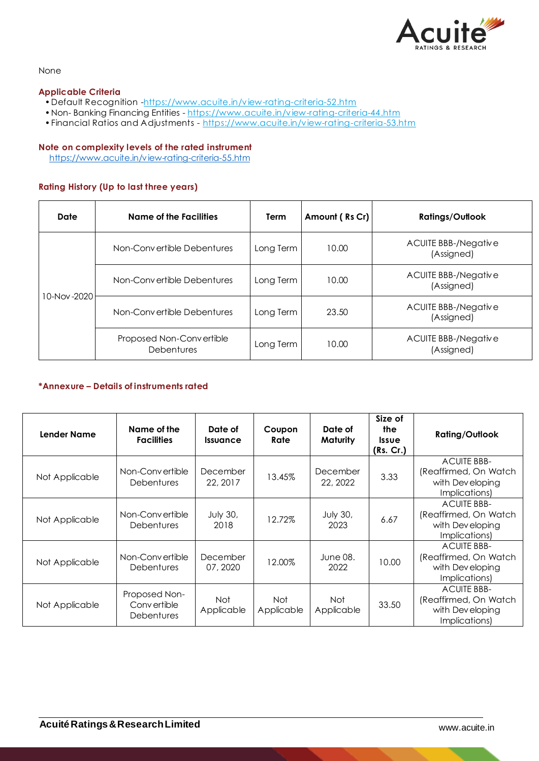

### None

### **Applicable Criteria**

- Default Recognition [-https://www.acuite.in/view-rating-criteria-52.htm](https://www.acuite.in/view-rating-criteria-52.htm)
- Non- Banking Financing Entities https://www.acuite.in/view-rating-criteria-44.htm
- •Financial Ratios and Adjustments <https://www.acuite.in/view-rating-criteria-53.htm>

### **Note on complexity levels of the rated instrument**

<https://www.acuite.in/view-rating-criteria-55.htm>

# **Rating History (Up to last three years)**

| Date        | Name of the Facilities                        | Term      | Amount (Rs Cr) | <b>Ratings/Outlook</b>             |
|-------------|-----------------------------------------------|-----------|----------------|------------------------------------|
| 10-Nov-2020 | Non-Convertible Debentures                    | Long Term | 10.00          | ACUITE BBB-/Negative<br>(Assigned) |
|             | Non-Convertible Debentures                    | Long Term | 10.00          | ACUITE BBB-/Negative<br>(Assigned) |
|             | Non-Convertible Debentures                    | Long Term | 23.50          | ACUITE BBB-/Negative<br>(Assigned) |
|             | Proposed Non-Convertible<br><b>Debentures</b> | Long Term | 10.00          | ACUITE BBB-/Negative<br>(Assigned) |

# **\*Annexure – Details of instruments rated**

| Lender Name    | Name of the<br><b>Facilities</b>                  | Date of<br><i><u><b>Issuance</b></u></i> | Coupon<br>Rate           | Date of<br>Maturity     | Size of<br>the<br><b>Issue</b><br>(Rs. Cr.) | <b>Rating/Outlook</b>                                                            |
|----------------|---------------------------------------------------|------------------------------------------|--------------------------|-------------------------|---------------------------------------------|----------------------------------------------------------------------------------|
| Not Applicable | Non-Convertible<br><b>Debentures</b>              | December<br>22, 2017                     | 13.45%                   | December<br>22, 2022    | 3.33                                        | <b>ACUITE BBB-</b><br>(Reaffirmed, On Watch<br>with Dev eloping<br>Implications) |
| Not Applicable | Non-Convertible<br><b>Debentures</b>              | <b>July 30,</b><br>2018                  | 12.72%                   | <b>July 30,</b><br>2023 | 6.67                                        | <b>ACUITE BBB-</b><br>(Reaffirmed, On Watch<br>with Developing<br>Implications)  |
| Not Applicable | Non-Convertible<br><b>Debentures</b>              | December<br>07, 2020                     | 12.00%                   | June 08.<br>2022        | 10.00                                       | <b>ACUITE BBB-</b><br>(Reaffirmed, On Watch<br>with Dev eloping<br>Implications) |
| Not Applicable | Proposed Non-<br>Convertible<br><b>Debentures</b> | Not<br>Applicable                        | <b>Not</b><br>Applicable | Not<br>Applicable       | 33.50                                       | <b>ACUITE BBB-</b><br>(Reaffirmed, On Watch<br>with Dev eloping<br>Implications) |